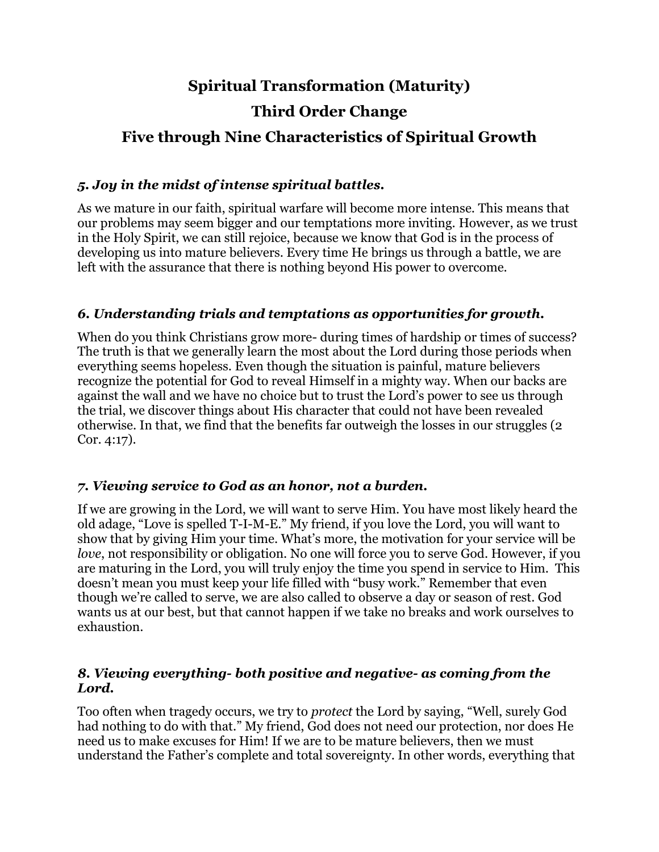# **Spiritual Transformation (Maturity) Third Order Change Five through Nine Characteristics of Spiritual Growth**

## *5. Joy in the midst of intense spiritual battles.*

As we mature in our faith, spiritual warfare will become more intense. This means that our problems may seem bigger and our temptations more inviting. However, as we trust in the Holy Spirit, we can still rejoice, because we know that God is in the process of developing us into mature believers. Every time He brings us through a battle, we are left with the assurance that there is nothing beyond His power to overcome.

## *6. Understanding trials and temptations as opportunities for growth.*

When do you think Christians grow more- during times of hardship or times of success? The truth is that we generally learn the most about the Lord during those periods when everything seems hopeless. Even though the situation is painful, mature believers recognize the potential for God to reveal Himself in a mighty way. When our backs are against the wall and we have no choice but to trust the Lord's power to see us through the trial, we discover things about His character that could not have been revealed otherwise. In that, we find that the benefits far outweigh the losses in our struggles (2 Cor. 4:17).

#### *7. Viewing service to God as an honor, not a burden.*

If we are growing in the Lord, we will want to serve Him. You have most likely heard the old adage, "Love is spelled T-I-M-E." My friend, if you love the Lord, you will want to show that by giving Him your time. What's more, the motivation for your service will be *love*, not responsibility or obligation. No one will force you to serve God. However, if you are maturing in the Lord, you will truly enjoy the time you spend in service to Him. This doesn't mean you must keep your life filled with "busy work." Remember that even though we're called to serve, we are also called to observe a day or season of rest. God wants us at our best, but that cannot happen if we take no breaks and work ourselves to exhaustion.

#### *8. Viewing everything- both positive and negative- as coming from the Lord.*

Too often when tragedy occurs, we try to *protect* the Lord by saying, "Well, surely God had nothing to do with that." My friend, God does not need our protection, nor does He need us to make excuses for Him! If we are to be mature believers, then we must understand the Father's complete and total sovereignty. In other words, everything that